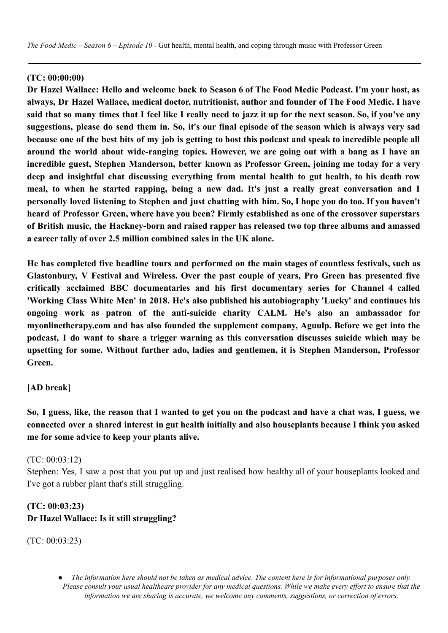#### **(TC: 00:00:00)**

Dr Hazel Wallace: Hello and welcome back to Season 6 of The Food Medic Podcast. I'm vour host, as **always, Dr Hazel Wallace, medical doctor, nutritionist, author and founder of The Food Medic. I have** said that so many times that I feel like I really need to jazz it up for the next season. So, if vou've any suggestions, please do send them in. So, it's our final episode of the season which is always very sad because one of the best bits of my job is getting to host this podcast and speak to incredible people all **around the world about wide-ranging topics. However, we are going out with a bang as I have an incredible guest, Stephen Manderson, better known as Professor Green, joining me today for a very deep and insightful chat discussing everything from mental health to gut health, to his death row meal, to when he started rapping, being a new dad. It's just a really great conversation and I** personally loved listening to Stephen and just chatting with him. So, I hope you do too. If you haven't **heard of Professor Green, where have you been? Firmly established as one of the crossover superstars of British music, the Hackney-born and raised rapper has released two top three albums and amassed a career tally of over 2.5 million combined sales in the UK alone.**

**He has completed five headline tours and performed on the main stages of countless festivals, such as Glastonbury, V Festival and Wireless. Over the past couple of years, Pro Green has presented five critically acclaimed BBC documentaries and his first documentary series for Channel 4 called 'Working Class White Men' in 2018. He's also published his autobiography 'Lucky' and continues his ongoing work as patron of the anti-suicide charity CALM. He's also an ambassador for myonlinetherapy.com and has also founded the supplement company, Aguulp. Before we get into the podcast, I do want to share a trigger warning as this conversation discusses suicide which may be upsetting for some. Without further ado, ladies and gentlemen, it is Stephen Manderson, Professor Green.**

#### **[AD break]**

So, I guess, like, the reason that I wanted to get you on the podcast and have a chat was, I guess, we **connected over a shared interest in gut health initially and also houseplants because I think you asked me for some advice to keep your plants alive.**

#### (TC: 00:03:12)

Stephen: Yes, I saw a post that you put up and just realised how healthy all of your houseplants looked and I've got a rubber plant that's still struggling.

### **(TC: 00:03:23) Dr Hazel Wallace: Is it still struggling?**

(TC: 00:03:23)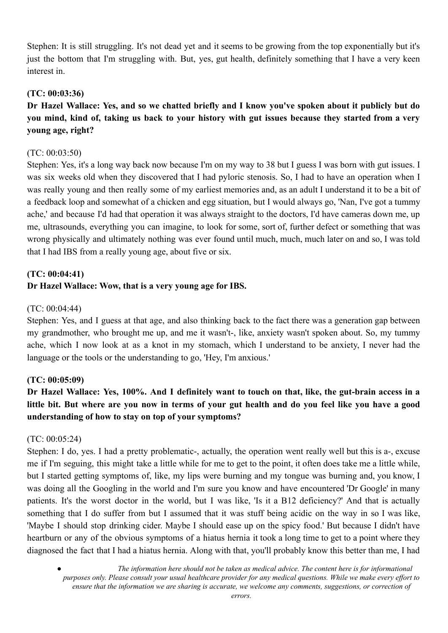Stephen: It is still struggling. It's not dead yet and it seems to be growing from the top exponentially but it's just the bottom that I'm struggling with. But, yes, gut health, definitely something that I have a very keen interest in.

### **(TC: 00:03:36)**

# Dr Hazel Wallace: Yes, and so we chatted briefly and I know you've spoken about it publicly but do you mind, kind of, taking us back to your history with gut issues because they started from a very **young age, right?**

#### (TC: 00:03:50)

Stephen: Yes, it's a long way back now because I'm on my way to 38 but I guess I was born with gut issues. I was six weeks old when they discovered that I had pyloric stenosis. So, I had to have an operation when I was really young and then really some of my earliest memories and, as an adult I understand it to be a bit of a feedback loop and somewhat of a chicken and egg situation, but I would always go, 'Nan, I've got a tummy ache,' and because I'd had that operation it was always straight to the doctors, I'd have cameras down me, up me, ultrasounds, everything you can imagine, to look for some, sort of, further defect or something that was wrong physically and ultimately nothing was ever found until much, much, much later on and so, I was told that I had IBS from a really young age, about five or six.

# **(TC: 00:04:41) Dr Hazel Wallace: Wow, that is a very young age for IBS.**

#### (TC: 00:04:44)

Stephen: Yes, and I guess at that age, and also thinking back to the fact there was a generation gap between my grandmother, who brought me up, and me it wasn't-, like, anxiety wasn't spoken about. So, my tummy ache, which I now look at as a knot in my stomach, which I understand to be anxiety, I never had the language or the tools or the understanding to go, 'Hey, I'm anxious.'

### **(TC: 00:05:09)**

# Dr Hazel Wallace: Yes, 100%. And I definitely want to touch on that, like, the gut-brain access in a little bit. But where are you now in terms of your gut health and do you feel like you have a good **understanding of how to stay on top of your symptoms?**

#### (TC: 00:05:24)

Stephen: I do, yes. I had a pretty problematic-, actually, the operation went really well but this is a-, excuse me if I'm seguing, this might take a little while for me to get to the point, it often does take me a little while, but I started getting symptoms of, like, my lips were burning and my tongue was burning and, you know, I was doing all the Googling in the world and I'm sure you know and have encountered 'Dr Google' in many patients. It's the worst doctor in the world, but I was like, 'Is it a B12 deficiency?' And that is actually something that I do suffer from but I assumed that it was stuff being acidic on the way in so I was like, 'Maybe I should stop drinking cider. Maybe I should ease up on the spicy food.' But because I didn't have heartburn or any of the obvious symptoms of a hiatus hernia it took a long time to get to a point where they diagnosed the fact that I had a hiatus hernia. Along with that, you'll probably know this better than me, I had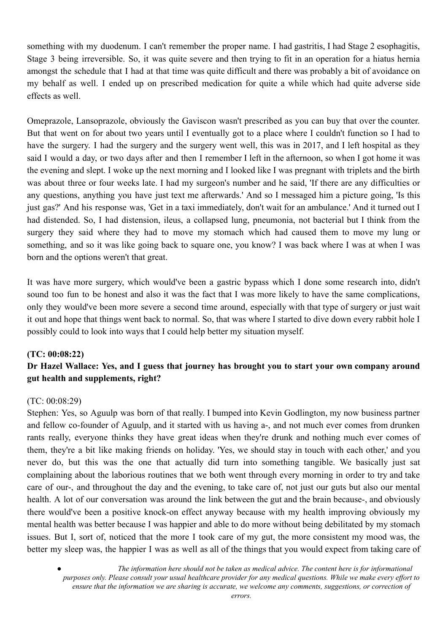something with my duodenum. I can't remember the proper name. I had gastritis, I had Stage 2 esophagitis, Stage 3 being irreversible. So, it was quite severe and then trying to fit in an operation for a hiatus hernia amongst the schedule that I had at that time was quite difficult and there was probably a bit of avoidance on my behalf as well. I ended up on prescribed medication for quite a while which had quite adverse side effects as well.

Omeprazole, Lansoprazole, obviously the Gaviscon wasn't prescribed as you can buy that over the counter. But that went on for about two years until I eventually got to a place where I couldn't function so I had to have the surgery. I had the surgery and the surgery went well, this was in 2017, and I left hospital as they said I would a day, or two days after and then I remember I left in the afternoon, so when I got home it was the evening and slept. I woke up the next morning and I looked like I was pregnant with triplets and the birth was about three or four weeks late. I had my surgeon's number and he said, 'If there are any difficulties or any questions, anything you have just text me afterwards.' And so I messaged him a picture going, 'Is this just gas?' And his response was, 'Get in a taxi immediately, don't wait for an ambulance.' And it turned out I had distended. So, I had distension, ileus, a collapsed lung, pneumonia, not bacterial but I think from the surgery they said where they had to move my stomach which had caused them to move my lung or something, and so it was like going back to square one, you know? I was back where I was at when I was born and the options weren't that great.

It was have more surgery, which would've been a gastric bypass which I done some research into, didn't sound too fun to be honest and also it was the fact that I was more likely to have the same complications, only they would've been more severe a second time around, especially with that type of surgery or just wait it out and hope that things went back to normal. So, that was where I started to dive down every rabbit hole I possibly could to look into ways that I could help better my situation myself.

#### **(TC: 00:08:22)**

# **Dr Hazel Wallace: Yes, and I guess that journey has brought you to start your own company around gut health and supplements, right?**

#### (TC: 00:08:29)

Stephen: Yes, so Aguulp was born of that really. I bumped into Kevin Godlington, my now business partner and fellow co-founder of Aguulp, and it started with us having a-, and not much ever comes from drunken rants really, everyone thinks they have great ideas when they're drunk and nothing much ever comes of them, they're a bit like making friends on holiday. 'Yes, we should stay in touch with each other,' and you never do, but this was the one that actually did turn into something tangible. We basically just sat complaining about the laborious routines that we both went through every morning in order to try and take care of our-, and throughout the day and the evening, to take care of, not just our guts but also our mental health. A lot of our conversation was around the link between the gut and the brain because-, and obviously there would've been a positive knock-on effect anyway because with my health improving obviously my mental health was better because I was happier and able to do more without being debilitated by my stomach issues. But I, sort of, noticed that the more I took care of my gut, the more consistent my mood was, the better my sleep was, the happier I was as well as all of the things that you would expect from taking care of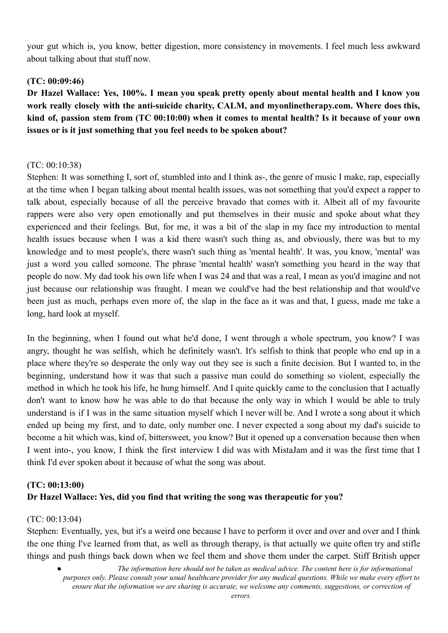your gut which is, you know, better digestion, more consistency in movements. I feel much less awkward about talking about that stuff now.

### **(TC: 00:09:46)**

**Dr Hazel Wallace: Yes, 100%. I mean you speak pretty openly about mental health and I know you work really closely with the anti-suicide charity, CALM, and myonlinetherapy.com. Where does this,** kind of, passion stem from (TC 00:10:00) when it comes to mental health? Is it because of your own **issues or is it just something that you feel needs to be spoken about?**

#### $(TC: 00.10.38)$

Stephen: It was something I, sort of, stumbled into and I think as-, the genre of music I make, rap, especially at the time when I began talking about mental health issues, was not something that you'd expect a rapper to talk about, especially because of all the perceive bravado that comes with it. Albeit all of my favourite rappers were also very open emotionally and put themselves in their music and spoke about what they experienced and their feelings. But, for me, it was a bit of the slap in my face my introduction to mental health issues because when I was a kid there wasn't such thing as, and obviously, there was but to my knowledge and to most people's, there wasn't such thing as 'mental health'. It was, you know, 'mental' was just a word you called someone. The phrase 'mental health' wasn't something you heard in the way that people do now. My dad took his own life when I was 24 and that was a real, I mean as you'd imagine and not just because our relationship was fraught. I mean we could've had the best relationship and that would've been just as much, perhaps even more of, the slap in the face as it was and that, I guess, made me take a long, hard look at myself.

In the beginning, when I found out what he'd done, I went through a whole spectrum, you know? I was angry, thought he was selfish, which he definitely wasn't. It's selfish to think that people who end up in a place where they're so desperate the only way out they see is such a finite decision. But I wanted to, in the beginning, understand how it was that such a passive man could do something so violent, especially the method in which he took his life, he hung himself. And I quite quickly came to the conclusion that I actually don't want to know how he was able to do that because the only way in which I would be able to truly understand is if I was in the same situation myself which I never will be. And I wrote a song about it which ended up being my first, and to date, only number one. I never expected a song about my dad's suicide to become a hit which was, kind of, bittersweet, you know? But it opened up a conversation because then when I went into-, you know, I think the first interview I did was with MistaJam and it was the first time that I think I'd ever spoken about it because of what the song was about.

# **(TC: 00:13:00) Dr Hazel Wallace: Yes, did you find that writing the song was therapeutic for you?**

#### (TC: 00:13:04)

Stephen: Eventually, yes, but it's a weird one because I have to perform it over and over and over and I think the one thing I've learned from that, as well as through therapy, is that actually we quite often try and stifle things and push things back down when we feel them and shove them under the carpet. Stiff British upper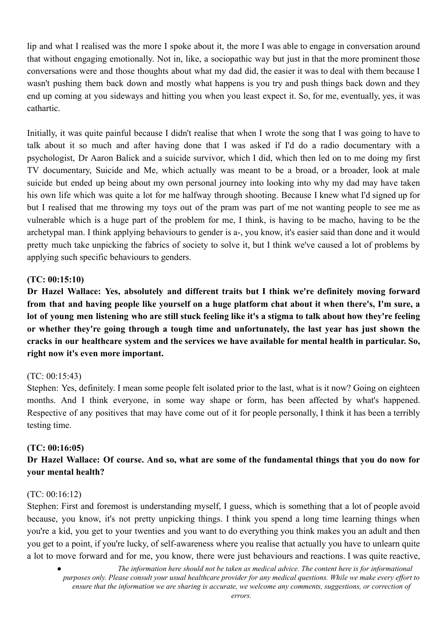lip and what I realised was the more I spoke about it, the more I was able to engage in conversation around that without engaging emotionally. Not in, like, a sociopathic way but just in that the more prominent those conversations were and those thoughts about what my dad did, the easier it was to deal with them because I wasn't pushing them back down and mostly what happens is you try and push things back down and they end up coming at you sideways and hitting you when you least expect it. So, for me, eventually, yes, it was cathartic.

Initially, it was quite painful because I didn't realise that when I wrote the song that I was going to have to talk about it so much and after having done that I was asked if I'd do a radio documentary with a psychologist, Dr Aaron Balick and a suicide survivor, which I did, which then led on to me doing my first TV documentary, Suicide and Me, which actually was meant to be a broad, or a broader, look at male suicide but ended up being about my own personal journey into looking into why my dad may have taken his own life which was quite a lot for me halfway through shooting. Because I knew what I'd signed up for but I realised that me throwing my toys out of the pram was part of me not wanting people to see me as vulnerable which is a huge part of the problem for me, I think, is having to be macho, having to be the archetypal man. I think applying behaviours to gender is a-, you know, it's easier said than done and it would pretty much take unpicking the fabrics of society to solve it, but I think we've caused a lot of problems by applying such specific behaviours to genders.

#### **(TC: 00:15:10)**

**Dr Hazel Wallace: Yes, absolutely and different traits but I think we're definitely moving forward** from that and having people like yourself on a huge platform chat about it when there's, I'm sure, a lot of young men listening who are still stuck feeling like it's a stigma to talk about how they're feeling **or whether they're going through a tough time and unfortunately, the last year has just shown the cracks in our healthcare system and the services we have available for mental health in particular. So, right now it's even more important.**

### (TC: 00:15:43)

Stephen: Yes, definitely. I mean some people felt isolated prior to the last, what is it now? Going on eighteen months. And I think everyone, in some way shape or form, has been affected by what's happened. Respective of any positives that may have come out of it for people personally, I think it has been a terribly testing time.

### **(TC: 00:16:05)**

## Dr Hazel Wallace: Of course. And so, what are some of the fundamental things that you do now for **your mental health?**

#### (TC: 00:16:12)

Stephen: First and foremost is understanding myself, I guess, which is something that a lot of people avoid because, you know, it's not pretty unpicking things. I think you spend a long time learning things when you're a kid, you get to your twenties and you want to do everything you think makes you an adult and then you get to a point, if you're lucky, of self-awareness where you realise that actually you have to unlearn quite a lot to move forward and for me, you know, there were just behaviours and reactions. I was quite reactive,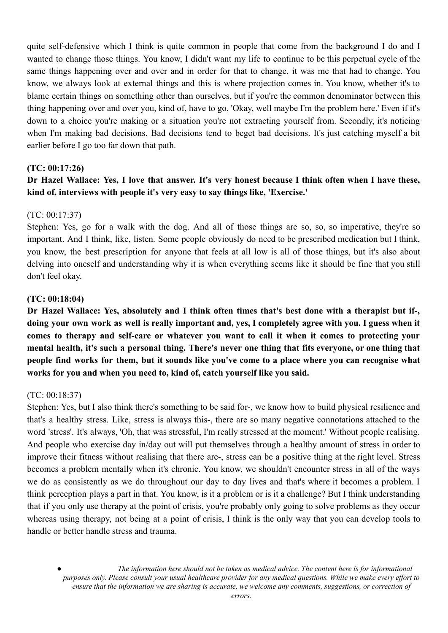quite self-defensive which I think is quite common in people that come from the background I do and I wanted to change those things. You know, I didn't want my life to continue to be this perpetual cycle of the same things happening over and over and in order for that to change, it was me that had to change. You know, we always look at external things and this is where projection comes in. You know, whether it's to blame certain things on something other than ourselves, but if you're the common denominator between this thing happening over and over you, kind of, have to go, 'Okay, well maybe I'm the problem here.' Even if it's down to a choice you're making or a situation you're not extracting yourself from. Secondly, it's noticing when I'm making bad decisions. Bad decisions tend to beget bad decisions. It's just catching myself a bit earlier before I go too far down that path.

#### **(TC: 00:17:26)**

### Dr Hazel Wallace: Yes, I love that answer. It's very honest because I think often when I have these. **kind of, interviews with people it's very easy to say things like, 'Exercise.'**

#### (TC: 00:17:37)

Stephen: Yes, go for a walk with the dog. And all of those things are so, so, so imperative, they're so important. And I think, like, listen. Some people obviously do need to be prescribed medication but I think, you know, the best prescription for anyone that feels at all low is all of those things, but it's also about delving into oneself and understanding why it is when everything seems like it should be fine that you still don't feel okay.

#### **(TC: 00:18:04)**

Dr Hazel Wallace: Yes, absolutely and I think often times that's best done with a therapist but if-, doing your own work as well is really important and, yes, I completely agree with you. I guess when it **comes to therapy and self-care or whatever you want to call it when it comes to protecting your** mental health, it's such a personal thing. There's never one thing that fits everyone, or one thing that people find works for them, but it sounds like you've come to a place where you can recognise what **works for you and when you need to, kind of, catch yourself like you said.**

#### (TC: 00:18:37)

Stephen: Yes, but I also think there's something to be said for-, we know how to build physical resilience and that's a healthy stress. Like, stress is always this-, there are so many negative connotations attached to the word 'stress'. It's always, 'Oh, that was stressful, I'm really stressed at the moment.' Without people realising. And people who exercise day in/day out will put themselves through a healthy amount of stress in order to improve their fitness without realising that there are-, stress can be a positive thing at the right level. Stress becomes a problem mentally when it's chronic. You know, we shouldn't encounter stress in all of the ways we do as consistently as we do throughout our day to day lives and that's where it becomes a problem. I think perception plays a part in that. You know, is it a problem or is it a challenge? But I think understanding that if you only use therapy at the point of crisis, you're probably only going to solve problems as they occur whereas using therapy, not being at a point of crisis, I think is the only way that you can develop tools to handle or better handle stress and trauma.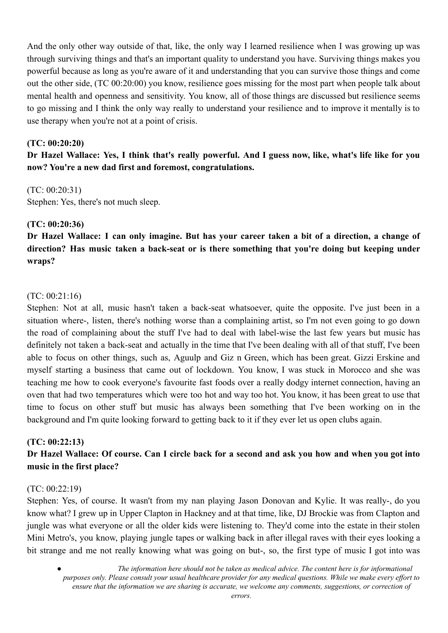And the only other way outside of that, like, the only way I learned resilience when I was growing up was through surviving things and that's an important quality to understand you have. Surviving things makes you powerful because as long as you're aware of it and understanding that you can survive those things and come out the other side, (TC 00:20:00) you know, resilience goes missing for the most part when people talk about mental health and openness and sensitivity. You know, all of those things are discussed but resilience seems to go missing and I think the only way really to understand your resilience and to improve it mentally is to use therapy when you're not at a point of crisis.

#### **(TC: 00:20:20)**

Dr Hazel Wallace: Yes, I think that's really powerful. And I guess now, like, what's life like for you **now? You're a new dad first and foremost, congratulations.**

### (TC: 00:20:31)

Stephen: Yes, there's not much sleep.

### **(TC: 00:20:36)**

Dr Hazel Wallace: I can only imagine. But has your career taken a bit of a direction, a change of **direction? Has music taken a back-seat or is there something that you're doing but keeping under wraps?**

### (TC: 00:21:16)

Stephen: Not at all, music hasn't taken a back-seat whatsoever, quite the opposite. I've just been in a situation where-, listen, there's nothing worse than a complaining artist, so I'm not even going to go down the road of complaining about the stuff I've had to deal with label-wise the last few years but music has definitely not taken a back-seat and actually in the time that I've been dealing with all of that stuff, I've been able to focus on other things, such as, Aguulp and Giz n Green, which has been great. Gizzi Erskine and myself starting a business that came out of lockdown. You know, I was stuck in Morocco and she was teaching me how to cook everyone's favourite fast foods over a really dodgy internet connection, having an oven that had two temperatures which were too hot and way too hot. You know, it has been great to use that time to focus on other stuff but music has always been something that I've been working on in the background and I'm quite looking forward to getting back to it if they ever let us open clubs again.

### **(TC: 00:22:13)**

# Dr Hazel Wallace: Of course. Can I circle back for a second and ask you how and when you got into **music in the first place?**

### (TC: 00:22:19)

Stephen: Yes, of course. It wasn't from my nan playing Jason Donovan and Kylie. It was really-, do you know what? I grew up in Upper Clapton in Hackney and at that time, like, DJ Brockie was from Clapton and jungle was what everyone or all the older kids were listening to. They'd come into the estate in their stolen Mini Metro's, you know, playing jungle tapes or walking back in after illegal raves with their eyes looking a bit strange and me not really knowing what was going on but-, so, the first type of music I got into was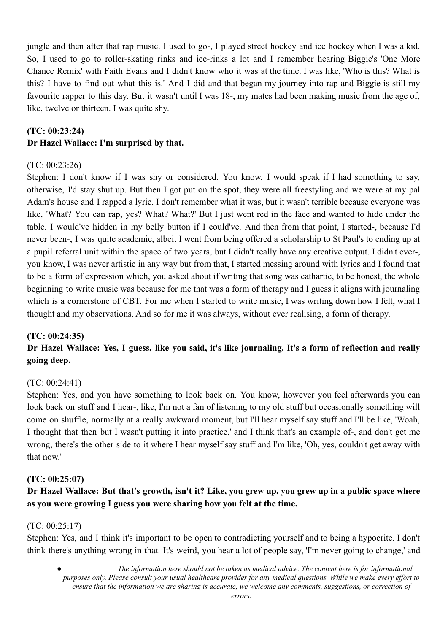jungle and then after that rap music. I used to go-, I played street hockey and ice hockey when I was a kid. So, I used to go to roller-skating rinks and ice-rinks a lot and I remember hearing Biggie's 'One More Chance Remix' with Faith Evans and I didn't know who it was at the time. I was like, 'Who is this? What is this? I have to find out what this is.' And I did and that began my journey into rap and Biggie is still my favourite rapper to this day. But it wasn't until I was 18-, my mates had been making music from the age of, like, twelve or thirteen. I was quite shy.

# **(TC: 00:23:24) Dr Hazel Wallace: I'm surprised by that.**

### $(TC: 00.23.26)$

Stephen: I don't know if I was shy or considered. You know, I would speak if I had something to say, otherwise, I'd stay shut up. But then I got put on the spot, they were all freestyling and we were at my pal Adam's house and I rapped a lyric. I don't remember what it was, but it wasn't terrible because everyone was like, 'What? You can rap, yes? What? What?' But I just went red in the face and wanted to hide under the table. I would've hidden in my belly button if I could've. And then from that point, I started-, because I'd never been-, I was quite academic, albeit I went from being offered a scholarship to St Paul's to ending up at a pupil referral unit within the space of two years, but I didn't really have any creative output. I didn't ever-, you know, I was never artistic in any way but from that, I started messing around with lyrics and I found that to be a form of expression which, you asked about if writing that song was cathartic, to be honest, the whole beginning to write music was because for me that was a form of therapy and I guess it aligns with journaling which is a cornerstone of CBT. For me when I started to write music, I was writing down how I felt, what I thought and my observations. And so for me it was always, without ever realising, a form of therapy.

### **(TC: 00:24:35)**

# Dr Hazel Wallace: Yes, I guess, like you said, it's like journaling. It's a form of reflection and really **going deep.**

### (TC: 00:24:41)

Stephen: Yes, and you have something to look back on. You know, however you feel afterwards you can look back on stuff and I hear-, like, I'm not a fan of listening to my old stuff but occasionally something will come on shuffle, normally at a really awkward moment, but I'll hear myself say stuff and I'll be like, 'Woah, I thought that then but I wasn't putting it into practice,' and I think that's an example of-, and don't get me wrong, there's the other side to it where I hear myself say stuff and I'm like, 'Oh, yes, couldn't get away with that now.'

### **(TC: 00:25:07)**

# Dr Hazel Wallace: But that's growth, isn't it? Like, you grew up, you grew up in a public space where **as you were growing I guess you were sharing how you felt at the time.**

### (TC: 00:25:17)

Stephen: Yes, and I think it's important to be open to contradicting yourself and to being a hypocrite. I don't think there's anything wrong in that. It's weird, you hear a lot of people say, 'I'm never going to change,' and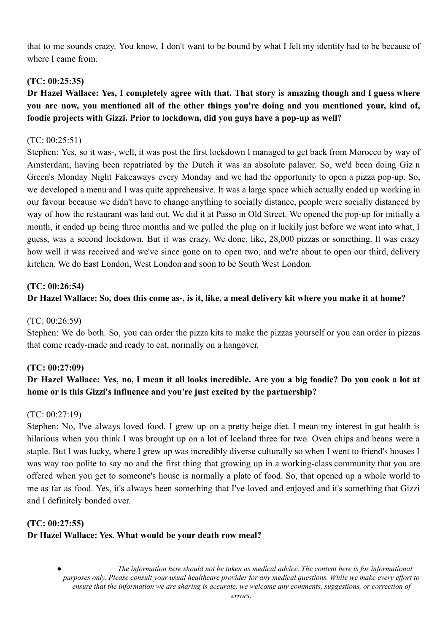that to me sounds crazy. You know, I don't want to be bound by what I felt my identity had to be because of where I came from.

### **(TC: 00:25:35)**

# Dr Hazel Wallace: Yes, I completely agree with that. That story is amazing though and I guess where **you are now, you mentioned all of the other things you're doing and you mentioned your, kind of, foodie projects with Gizzi. Prior to lockdown, did you guys have a pop-up as well?**

#### (TC: 00:25:51)

Stephen: Yes, so it was-, well, it was post the first lockdown I managed to get back from Morocco by way of Amsterdam, having been repatriated by the Dutch it was an absolute palaver. So, we'd been doing Giz n Green's Monday Night Fakeaways every Monday and we had the opportunity to open a pizza pop-up. So, we developed a menu and I was quite apprehensive. It was a large space which actually ended up working in our favour because we didn't have to change anything to socially distance, people were socially distanced by way of how the restaurant was laid out. We did it at Passo in Old Street. We opened the pop-up for initially a month, it ended up being three months and we pulled the plug on it luckily just before we went into what, I guess, was a second lockdown. But it was crazy. We done, like, 28,000 pizzas or something. It was crazy how well it was received and we've since gone on to open two, and we're about to open our third, delivery kitchen. We do East London, West London and soon to be South West London.

## **(TC: 00:26:54) Dr Hazel Wallace: So, does this come as-, is it, like, a meal delivery kit where you make it at home?**

#### (TC: 00:26:59)

Stephen: We do both. So, you can order the pizza kits to make the pizzas yourself or you can order in pizzas that come ready-made and ready to eat, normally on a hangover.

#### **(TC: 00:27:09)**

# Dr Hazel Wallace: Yes, no, I mean it all looks incredible. Are you a big foodie? Do you cook a lot at **home or is this Gizzi's influence and you're just excited by the partnership?**

#### (TC: 00:27:19)

Stephen: No, I've always loved food. I grew up on a pretty beige diet. I mean my interest in gut health is hilarious when you think I was brought up on a lot of Iceland three for two. Oven chips and beans were a staple. But I was lucky, where I grew up was incredibly diverse culturally so when I went to friend's houses I was way too polite to say no and the first thing that growing up in a working-class community that you are offered when you get to someone's house is normally a plate of food. So, that opened up a whole world to me as far as food. Yes, it's always been something that I've loved and enjoyed and it's something that Gizzi and I definitely bonded over.

## **(TC: 00:27:55) Dr Hazel Wallace: Yes. What would be your death row meal?**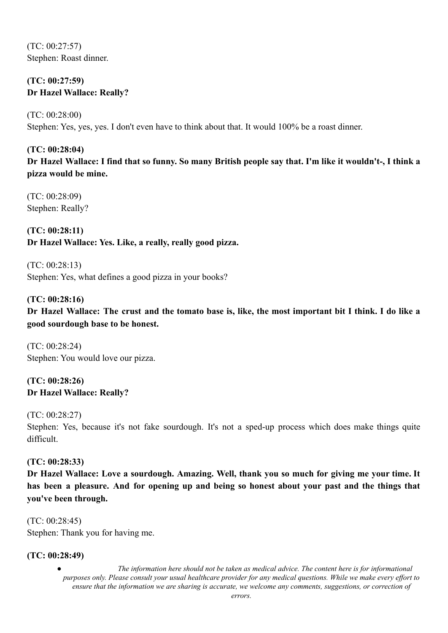(TC: 00:27:57) Stephen: Roast dinner.

### **(TC: 00:27:59) Dr Hazel Wallace: Really?**

(TC: 00:28:00) Stephen: Yes, yes, yes. I don't even have to think about that. It would 100% be a roast dinner.

### **(TC: 00:28:04)**

Dr Hazel Wallace: I find that so funny. So many British people say that. I'm like it wouldn't-, I think a **pizza would be mine.**

(TC: 00:28:09) Stephen: Really?

**(TC: 00:28:11) Dr Hazel Wallace: Yes. Like, a really, really good pizza.**

(TC: 00:28:13) Stephen: Yes, what defines a good pizza in your books?

# **(TC: 00:28:16)** Dr Hazel Wallace: The crust and the tomato base is, like, the most important bit I think. I do like a **good sourdough base to be honest.**

(TC: 00:28:24) Stephen: You would love our pizza.

**(TC: 00:28:26) Dr Hazel Wallace: Really?**

(TC: 00:28:27) Stephen: Yes, because it's not fake sourdough. It's not a sped-up process which does make things quite difficult.

### **(TC: 00:28:33)**

**Dr Hazel Wallace: Love a sourdough. Amazing. Well, thank you so much for giving me your time. It** has been a pleasure. And for opening up and being so honest about your past and the things that **you've been through.**

(TC: 00:28:45) Stephen: Thank you for having me.

### **(TC: 00:28:49)**